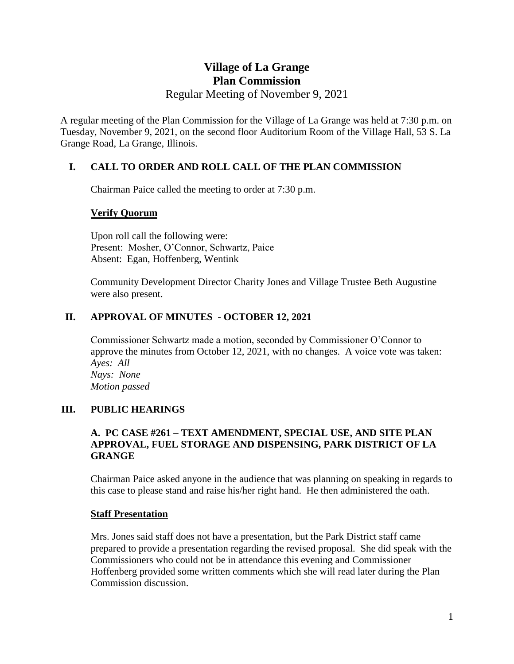# **Village of La Grange Plan Commission** Regular Meeting of November 9, 2021

A regular meeting of the Plan Commission for the Village of La Grange was held at 7:30 p.m. on Tuesday, November 9, 2021, on the second floor Auditorium Room of the Village Hall, 53 S. La Grange Road, La Grange, Illinois.

# **I. CALL TO ORDER AND ROLL CALL OF THE PLAN COMMISSION**

Chairman Paice called the meeting to order at 7:30 p.m.

# **Verify Quorum**

Upon roll call the following were: Present: Mosher, O'Connor, Schwartz, Paice Absent: Egan, Hoffenberg, Wentink

Community Development Director Charity Jones and Village Trustee Beth Augustine were also present.

# **II. APPROVAL OF MINUTES - OCTOBER 12, 2021**

Commissioner Schwartz made a motion, seconded by Commissioner O'Connor to approve the minutes from October 12, 2021, with no changes. A voice vote was taken: *Ayes: All Nays: None Motion passed*

# **III. PUBLIC HEARINGS**

### **A. PC CASE #261 – TEXT AMENDMENT, SPECIAL USE, AND SITE PLAN APPROVAL, FUEL STORAGE AND DISPENSING, PARK DISTRICT OF LA GRANGE**

Chairman Paice asked anyone in the audience that was planning on speaking in regards to this case to please stand and raise his/her right hand. He then administered the oath.

### **Staff Presentation**

Mrs. Jones said staff does not have a presentation, but the Park District staff came prepared to provide a presentation regarding the revised proposal. She did speak with the Commissioners who could not be in attendance this evening and Commissioner Hoffenberg provided some written comments which she will read later during the Plan Commission discussion.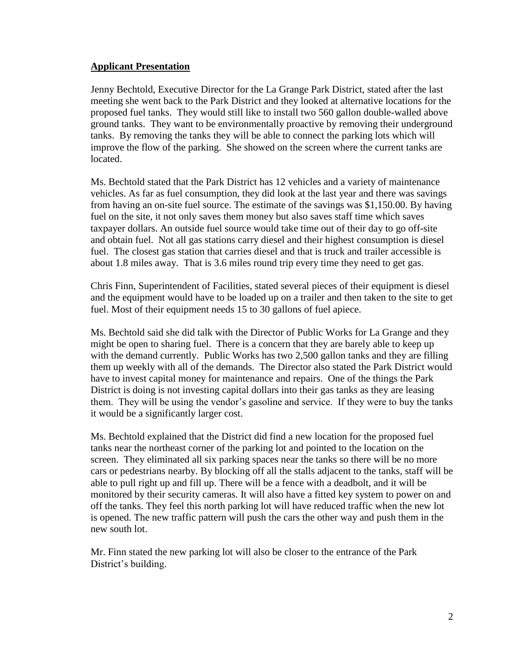### **Applicant Presentation**

Jenny Bechtold, Executive Director for the La Grange Park District, stated after the last meeting she went back to the Park District and they looked at alternative locations for the proposed fuel tanks. They would still like to install two 560 gallon double-walled above ground tanks. They want to be environmentally proactive by removing their underground tanks. By removing the tanks they will be able to connect the parking lots which will improve the flow of the parking. She showed on the screen where the current tanks are located.

Ms. Bechtold stated that the Park District has 12 vehicles and a variety of maintenance vehicles. As far as fuel consumption, they did look at the last year and there was savings from having an on-site fuel source. The estimate of the savings was \$1,150.00. By having fuel on the site, it not only saves them money but also saves staff time which saves taxpayer dollars. An outside fuel source would take time out of their day to go off-site and obtain fuel. Not all gas stations carry diesel and their highest consumption is diesel fuel. The closest gas station that carries diesel and that is truck and trailer accessible is about 1.8 miles away. That is 3.6 miles round trip every time they need to get gas.

Chris Finn, Superintendent of Facilities, stated several pieces of their equipment is diesel and the equipment would have to be loaded up on a trailer and then taken to the site to get fuel. Most of their equipment needs 15 to 30 gallons of fuel apiece.

Ms. Bechtold said she did talk with the Director of Public Works for La Grange and they might be open to sharing fuel. There is a concern that they are barely able to keep up with the demand currently. Public Works has two 2,500 gallon tanks and they are filling them up weekly with all of the demands. The Director also stated the Park District would have to invest capital money for maintenance and repairs. One of the things the Park District is doing is not investing capital dollars into their gas tanks as they are leasing them. They will be using the vendor's gasoline and service. If they were to buy the tanks it would be a significantly larger cost.

Ms. Bechtold explained that the District did find a new location for the proposed fuel tanks near the northeast corner of the parking lot and pointed to the location on the screen. They eliminated all six parking spaces near the tanks so there will be no more cars or pedestrians nearby. By blocking off all the stalls adjacent to the tanks, staff will be able to pull right up and fill up. There will be a fence with a deadbolt, and it will be monitored by their security cameras. It will also have a fitted key system to power on and off the tanks. They feel this north parking lot will have reduced traffic when the new lot is opened. The new traffic pattern will push the cars the other way and push them in the new south lot.

Mr. Finn stated the new parking lot will also be closer to the entrance of the Park District's building.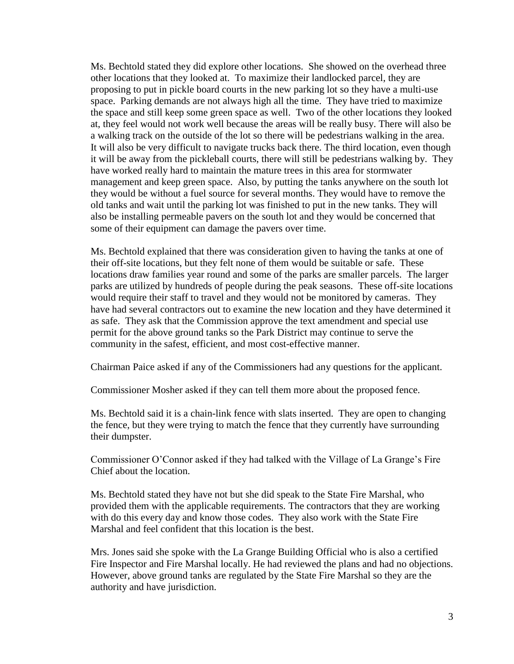Ms. Bechtold stated they did explore other locations. She showed on the overhead three other locations that they looked at. To maximize their landlocked parcel, they are proposing to put in pickle board courts in the new parking lot so they have a multi-use space. Parking demands are not always high all the time. They have tried to maximize the space and still keep some green space as well. Two of the other locations they looked at, they feel would not work well because the areas will be really busy. There will also be a walking track on the outside of the lot so there will be pedestrians walking in the area. It will also be very difficult to navigate trucks back there. The third location, even though it will be away from the pickleball courts, there will still be pedestrians walking by. They have worked really hard to maintain the mature trees in this area for stormwater management and keep green space. Also, by putting the tanks anywhere on the south lot they would be without a fuel source for several months. They would have to remove the old tanks and wait until the parking lot was finished to put in the new tanks. They will also be installing permeable pavers on the south lot and they would be concerned that some of their equipment can damage the pavers over time.

Ms. Bechtold explained that there was consideration given to having the tanks at one of their off-site locations, but they felt none of them would be suitable or safe. These locations draw families year round and some of the parks are smaller parcels. The larger parks are utilized by hundreds of people during the peak seasons. These off-site locations would require their staff to travel and they would not be monitored by cameras. They have had several contractors out to examine the new location and they have determined it as safe. They ask that the Commission approve the text amendment and special use permit for the above ground tanks so the Park District may continue to serve the community in the safest, efficient, and most cost-effective manner.

Chairman Paice asked if any of the Commissioners had any questions for the applicant.

Commissioner Mosher asked if they can tell them more about the proposed fence.

Ms. Bechtold said it is a chain-link fence with slats inserted. They are open to changing the fence, but they were trying to match the fence that they currently have surrounding their dumpster.

Commissioner O'Connor asked if they had talked with the Village of La Grange's Fire Chief about the location.

Ms. Bechtold stated they have not but she did speak to the State Fire Marshal, who provided them with the applicable requirements. The contractors that they are working with do this every day and know those codes. They also work with the State Fire Marshal and feel confident that this location is the best.

Mrs. Jones said she spoke with the La Grange Building Official who is also a certified Fire Inspector and Fire Marshal locally. He had reviewed the plans and had no objections. However, above ground tanks are regulated by the State Fire Marshal so they are the authority and have jurisdiction.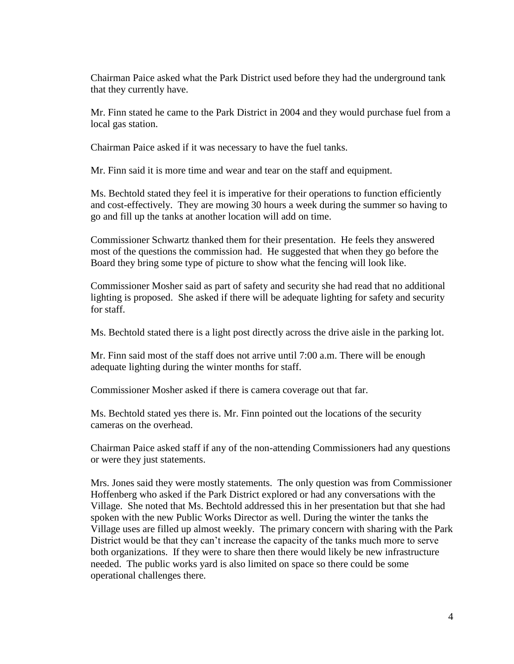Chairman Paice asked what the Park District used before they had the underground tank that they currently have.

Mr. Finn stated he came to the Park District in 2004 and they would purchase fuel from a local gas station.

Chairman Paice asked if it was necessary to have the fuel tanks.

Mr. Finn said it is more time and wear and tear on the staff and equipment.

Ms. Bechtold stated they feel it is imperative for their operations to function efficiently and cost-effectively. They are mowing 30 hours a week during the summer so having to go and fill up the tanks at another location will add on time.

Commissioner Schwartz thanked them for their presentation. He feels they answered most of the questions the commission had. He suggested that when they go before the Board they bring some type of picture to show what the fencing will look like.

Commissioner Mosher said as part of safety and security she had read that no additional lighting is proposed. She asked if there will be adequate lighting for safety and security for staff.

Ms. Bechtold stated there is a light post directly across the drive aisle in the parking lot.

Mr. Finn said most of the staff does not arrive until 7:00 a.m. There will be enough adequate lighting during the winter months for staff.

Commissioner Mosher asked if there is camera coverage out that far.

Ms. Bechtold stated yes there is. Mr. Finn pointed out the locations of the security cameras on the overhead.

Chairman Paice asked staff if any of the non-attending Commissioners had any questions or were they just statements.

Mrs. Jones said they were mostly statements. The only question was from Commissioner Hoffenberg who asked if the Park District explored or had any conversations with the Village. She noted that Ms. Bechtold addressed this in her presentation but that she had spoken with the new Public Works Director as well. During the winter the tanks the Village uses are filled up almost weekly. The primary concern with sharing with the Park District would be that they can't increase the capacity of the tanks much more to serve both organizations. If they were to share then there would likely be new infrastructure needed. The public works yard is also limited on space so there could be some operational challenges there.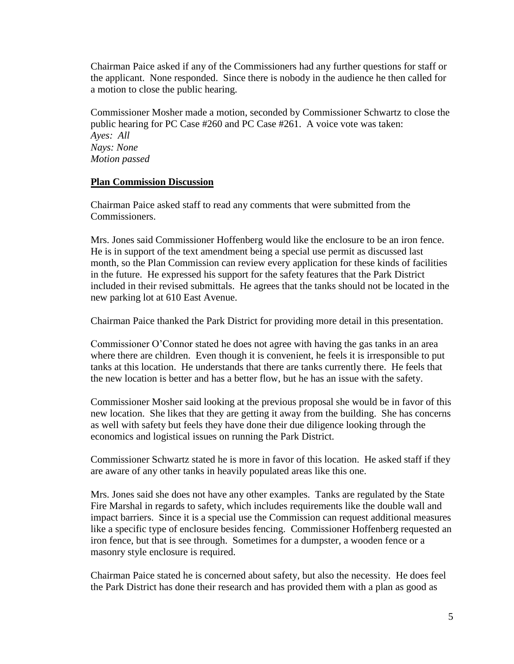Chairman Paice asked if any of the Commissioners had any further questions for staff or the applicant. None responded. Since there is nobody in the audience he then called for a motion to close the public hearing.

Commissioner Mosher made a motion, seconded by Commissioner Schwartz to close the public hearing for PC Case #260 and PC Case #261. A voice vote was taken: *Ayes: All Nays: None Motion passed*

### **Plan Commission Discussion**

Chairman Paice asked staff to read any comments that were submitted from the Commissioners.

Mrs. Jones said Commissioner Hoffenberg would like the enclosure to be an iron fence. He is in support of the text amendment being a special use permit as discussed last month, so the Plan Commission can review every application for these kinds of facilities in the future. He expressed his support for the safety features that the Park District included in their revised submittals. He agrees that the tanks should not be located in the new parking lot at 610 East Avenue.

Chairman Paice thanked the Park District for providing more detail in this presentation.

Commissioner O'Connor stated he does not agree with having the gas tanks in an area where there are children. Even though it is convenient, he feels it is irresponsible to put tanks at this location. He understands that there are tanks currently there. He feels that the new location is better and has a better flow, but he has an issue with the safety.

Commissioner Mosher said looking at the previous proposal she would be in favor of this new location. She likes that they are getting it away from the building. She has concerns as well with safety but feels they have done their due diligence looking through the economics and logistical issues on running the Park District.

Commissioner Schwartz stated he is more in favor of this location. He asked staff if they are aware of any other tanks in heavily populated areas like this one.

Mrs. Jones said she does not have any other examples. Tanks are regulated by the State Fire Marshal in regards to safety, which includes requirements like the double wall and impact barriers. Since it is a special use the Commission can request additional measures like a specific type of enclosure besides fencing. Commissioner Hoffenberg requested an iron fence, but that is see through. Sometimes for a dumpster, a wooden fence or a masonry style enclosure is required.

Chairman Paice stated he is concerned about safety, but also the necessity. He does feel the Park District has done their research and has provided them with a plan as good as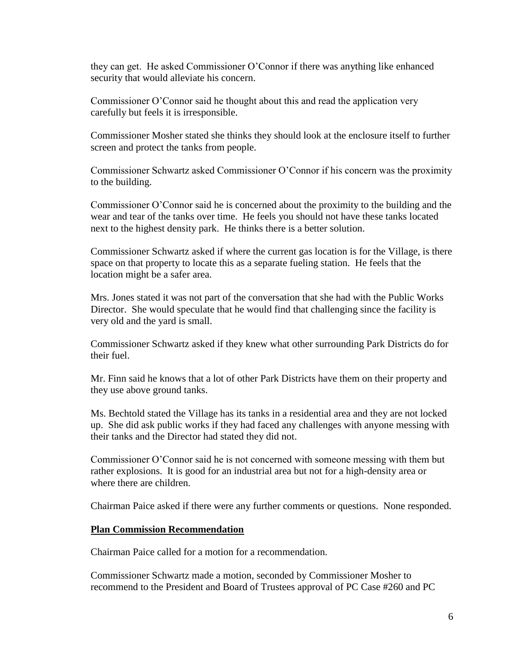they can get. He asked Commissioner O'Connor if there was anything like enhanced security that would alleviate his concern.

Commissioner O'Connor said he thought about this and read the application very carefully but feels it is irresponsible.

Commissioner Mosher stated she thinks they should look at the enclosure itself to further screen and protect the tanks from people.

Commissioner Schwartz asked Commissioner O'Connor if his concern was the proximity to the building.

Commissioner O'Connor said he is concerned about the proximity to the building and the wear and tear of the tanks over time. He feels you should not have these tanks located next to the highest density park. He thinks there is a better solution.

Commissioner Schwartz asked if where the current gas location is for the Village, is there space on that property to locate this as a separate fueling station. He feels that the location might be a safer area.

Mrs. Jones stated it was not part of the conversation that she had with the Public Works Director. She would speculate that he would find that challenging since the facility is very old and the yard is small.

Commissioner Schwartz asked if they knew what other surrounding Park Districts do for their fuel.

Mr. Finn said he knows that a lot of other Park Districts have them on their property and they use above ground tanks.

Ms. Bechtold stated the Village has its tanks in a residential area and they are not locked up. She did ask public works if they had faced any challenges with anyone messing with their tanks and the Director had stated they did not.

Commissioner O'Connor said he is not concerned with someone messing with them but rather explosions. It is good for an industrial area but not for a high-density area or where there are children.

Chairman Paice asked if there were any further comments or questions. None responded.

### **Plan Commission Recommendation**

Chairman Paice called for a motion for a recommendation.

Commissioner Schwartz made a motion, seconded by Commissioner Mosher to recommend to the President and Board of Trustees approval of PC Case #260 and PC